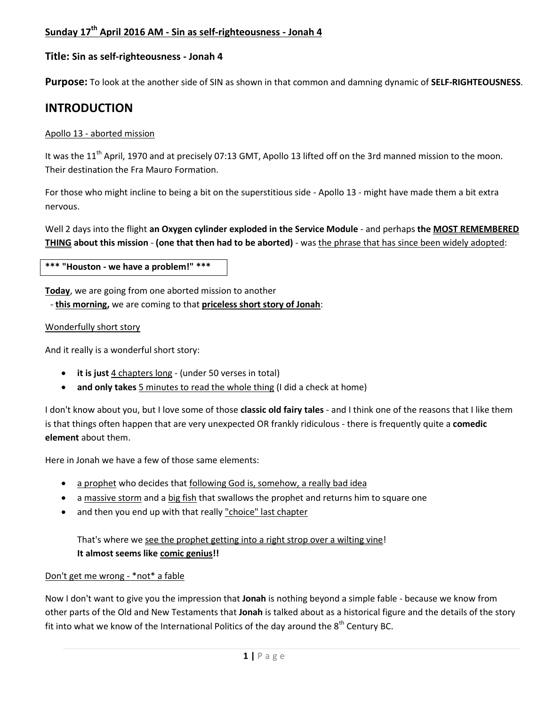## **Sunday 17 th April 2016 AM - Sin as self-righteousness - Jonah 4**

### **Title: Sin as self-righteousness - Jonah 4**

**Purpose:** To look at the another side of SIN as shown in that common and damning dynamic of **SELF-RIGHTEOUSNESS**.

## **INTRODUCTION**

### Apollo 13 - aborted mission

It was the 11<sup>th</sup> April, 1970 and at precisely 07:13 GMT, Apollo 13 lifted off on the 3rd manned mission to the moon. Their destination the Fra Mauro Formation.

For those who might incline to being a bit on the superstitious side - Apollo 13 - might have made them a bit extra nervous.

Well 2 days into the flight **an Oxygen cylinder exploded in the Service Module** - and perhaps **the MOST REMEMBERED THING about this mission** - **(one that then had to be aborted)** - was the phrase that has since been widely adopted:

**\*\*\* "Houston - we have a problem!" \*\*\***

**Today**, we are going from one aborted mission to another

- **this morning,** we are coming to that **priceless short story of Jonah**:

### Wonderfully short story

And it really is a wonderful short story:

- **it is just** 4 chapters long (under 50 verses in total)
- **and only takes** 5 minutes to read the whole thing (I did a check at home)

I don't know about you, but I love some of those **classic old fairy tales** - and I think one of the reasons that I like them is that things often happen that are very unexpected OR frankly ridiculous - there is frequently quite a **comedic element** about them.

Here in Jonah we have a few of those same elements:

- a prophet who decides that following God is, somehow, a really bad idea
- a massive storm and a big fish that swallows the prophet and returns him to square one
- and then you end up with that really "choice" last chapter

## That's where we see the prophet getting into a right strop over a wilting vine! **It almost seems like comic genius!!**

### Don't get me wrong - \*not\* a fable

Now I don't want to give you the impression that **Jonah** is nothing beyond a simple fable - because we know from other parts of the Old and New Testaments that **Jonah** is talked about as a historical figure and the details of the story fit into what we know of the International Politics of the day around the  $8<sup>th</sup>$  Century BC.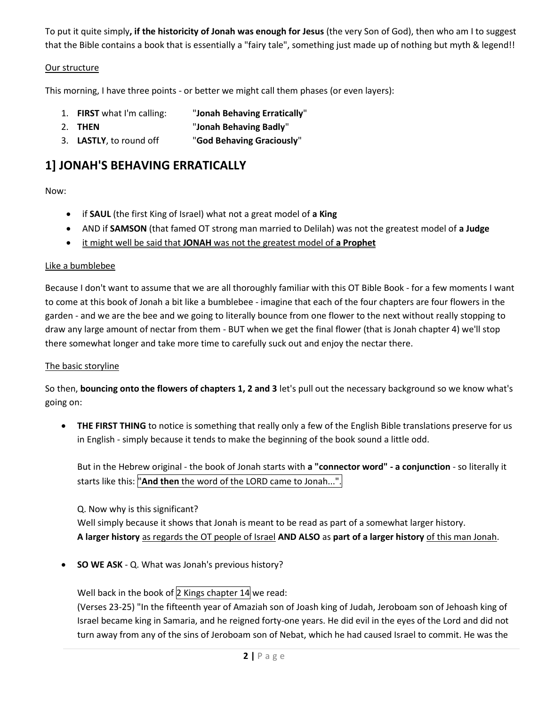To put it quite simply**, if the historicity of Jonah was enough for Jesus** (the very Son of God), then who am I to suggest that the Bible contains a book that is essentially a "fairy tale", something just made up of nothing but myth & legend!!

### Our structure

This morning, I have three points - or better we might call them phases (or even layers):

- 1. **FIRST** what I'm calling: "**Jonah Behaving Erratically**"
- 2. **THEN** "**Jonah Behaving Badly**"
- 3. **LASTLY**, to round off "**God Behaving Graciously**"

## **1] JONAH'S BEHAVING ERRATICALLY**

### Now:

- if **SAUL** (the first King of Israel) what not a great model of **a King**
- AND if **SAMSON** (that famed OT strong man married to Delilah) was not the greatest model of **a Judge**
- it might well be said that **JONAH** was not the greatest model of **a Prophet**

### Like a bumblebee

Because I don't want to assume that we are all thoroughly familiar with this OT Bible Book - for a few moments I want to come at this book of Jonah a bit like a bumblebee - imagine that each of the four chapters are four flowers in the garden - and we are the bee and we going to literally bounce from one flower to the next without really stopping to draw any large amount of nectar from them - BUT when we get the final flower (that is Jonah chapter 4) we'll stop there somewhat longer and take more time to carefully suck out and enjoy the nectar there.

### The basic storyline

So then, **bouncing onto the flowers of chapters 1, 2 and 3** let's pull out the necessary background so we know what's going on:

 **THE FIRST THING** to notice is something that really only a few of the English Bible translations preserve for us in English - simply because it tends to make the beginning of the book sound a little odd.

But in the Hebrew original - the book of Jonah starts with **a "connector word" - a conjunction** - so literally it starts like this: "**And then** the word of the LORD came to Jonah...".

Q. Now why is this significant? Well simply because it shows that Jonah is meant to be read as part of a somewhat larger history. **A larger history** as regards the OT people of Israel **AND ALSO** as **part of a larger history** of this man Jonah.

**SO WE ASK** - Q. What was Jonah's previous history?

Well back in the book of  $2$  Kings chapter 14 we read:

(Verses 23-25) "In the fifteenth year of Amaziah son of Joash king of Judah, Jeroboam son of Jehoash king of Israel became king in Samaria, and he reigned forty-one years. He did evil in the eyes of the Lord and did not turn away from any of the sins of Jeroboam son of Nebat, which he had caused Israel to commit. He was the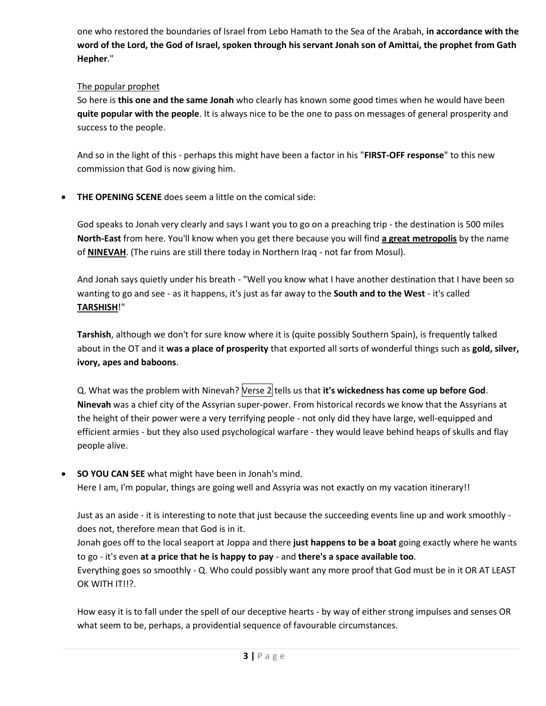one who restored the boundaries of Israel from Lebo Hamath to the Sea of the Arabah, **in accordance with the word of the Lord, the God of Israel, spoken through his servant Jonah son of Amittai, the prophet from Gath Hepher**."

## The popular prophet

So here is **this one and the same Jonah** who clearly has known some good times when he would have been **quite popular with the people**. It is always nice to be the one to pass on messages of general prosperity and success to the people.

And so in the light of this - perhaps this might have been a factor in his "**FIRST-OFF response**" to this new commission that God is now giving him.

**THE OPENING SCENE** does seem a little on the comical side:

God speaks to Jonah very clearly and says I want you to go on a preaching trip - the destination is 500 miles **North-East** from here. You'll know when you get there because you will find **a great metropolis** by the name of **NINEVAH**. (The ruins are still there today in Northern Iraq - not far from Mosul).

And Jonah says quietly under his breath - "Well you know what I have another destination that I have been so wanting to go and see - as it happens, it's just as far away to the **South and to the West** - it's called **TARSHISH**!"

**Tarshish**, although we don't for sure know where it is (quite possibly Southern Spain), is frequently talked about in the OT and it **was a place of prosperity** that exported all sorts of wonderful things such as **gold, silver, ivory, apes and baboons**.

Q. What was the problem with Ninevah? Verse 2 tells us that it's wickedness has come up before God. **Ninevah** was a chief city of the Assyrian super-power. From historical records we know that the Assyrians at the height of their power were a very terrifying people - not only did they have large, well-equipped and efficient armies - but they also used psychological warfare - they would leave behind heaps of skulls and flay people alive.

 **SO YOU CAN SEE** what might have been in Jonah's mind. Here I am, I'm popular, things are going well and Assyria was not exactly on my vacation itinerary!!

Just as an aside - it is interesting to note that just because the succeeding events line up and work smoothly does not, therefore mean that God is in it.

Jonah goes off to the local seaport at Joppa and there **just happens to be a boat** going exactly where he wants to go - it's even **at a price that he is happy to pay** - and **there's a space available too**.

Everything goes so smoothly - Q. Who could possibly want any more proof that God must be in it OR AT LEAST OK WITH IT!!?.

How easy it is to fall under the spell of our deceptive hearts - by way of either strong impulses and senses OR what seem to be, perhaps, a providential sequence of favourable circumstances.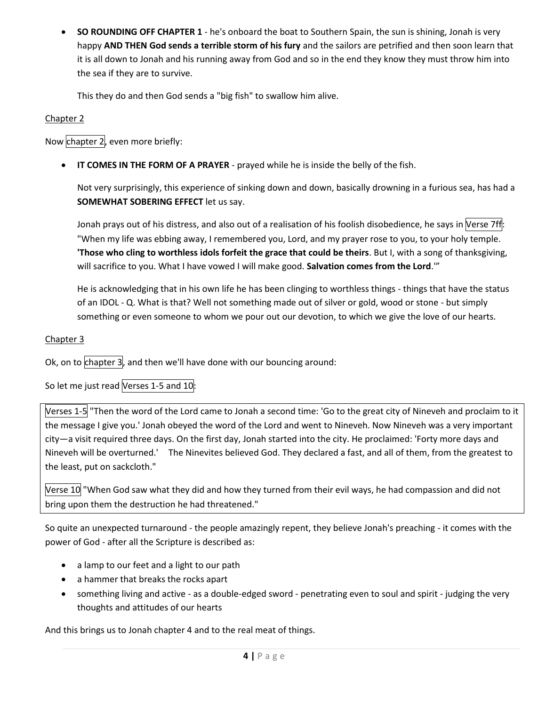**SO ROUNDING OFF CHAPTER 1** - he's onboard the boat to Southern Spain, the sun is shining, Jonah is very happy **AND THEN God sends a terrible storm of his fury** and the sailors are petrified and then soon learn that it is all down to Jonah and his running away from God and so in the end they know they must throw him into the sea if they are to survive.

This they do and then God sends a "big fish" to swallow him alive.

## Chapter 2

Now chapter 2, even more briefly:

**IT COMES IN THE FORM OF A PRAYER** - prayed while he is inside the belly of the fish.

Not very surprisingly, this experience of sinking down and down, basically drowning in a furious sea, has had a **SOMEWHAT SOBERING EFFECT** let us say.

Jonah prays out of his distress, and also out of a realisation of his foolish disobedience, he says in Verse 7ff: "When my life was ebbing away, I remembered you, Lord, and my prayer rose to you, to your holy temple. **'Those who cling to worthless idols forfeit the grace that could be theirs**. But I, with a song of thanksgiving, will sacrifice to you. What I have vowed I will make good. **Salvation comes from the Lord**.'"

He is acknowledging that in his own life he has been clinging to worthless things - things that have the status of an IDOL - Q. What is that? Well not something made out of silver or gold, wood or stone - but simply something or even someone to whom we pour out our devotion, to which we give the love of our hearts.

## Chapter 3

Ok, on to  $ch$ apter 3, and then we'll have done with our bouncing around:

So let me just read Verses 1-5 and 10:

Verses 1-5 "Then the word of the Lord came to Jonah a second time: 'Go to the great city of Nineveh and proclaim to it the message I give you.' Jonah obeyed the word of the Lord and went to Nineveh. Now Nineveh was a very important city—a visit required three days. On the first day, Jonah started into the city. He proclaimed: 'Forty more days and Nineveh will be overturned.' The Ninevites believed God. They declared a fast, and all of them, from the greatest to the least, put on sackcloth."

Verse 10 "When God saw what they did and how they turned from their evil ways, he had compassion and did not bring upon them the destruction he had threatened."

So quite an unexpected turnaround - the people amazingly repent, they believe Jonah's preaching - it comes with the power of God - after all the Scripture is described as:

- a lamp to our feet and a light to our path
- a hammer that breaks the rocks apart
- something living and active as a double-edged sword penetrating even to soul and spirit judging the very thoughts and attitudes of our hearts

And this brings us to Jonah chapter 4 and to the real meat of things.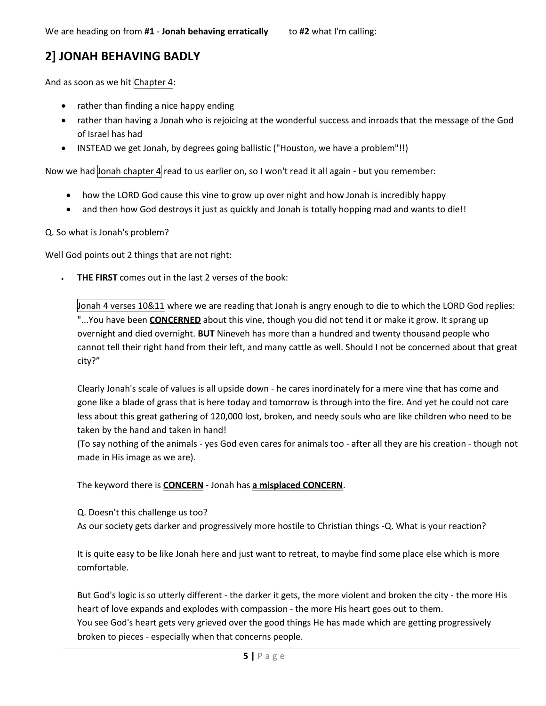## **2] JONAH BEHAVING BADLY**

And as soon as we hit Chapter 4:

- rather than finding a nice happy ending
- rather than having a Jonah who is rejoicing at the wonderful success and inroads that the message of the God of Israel has had
- INSTEAD we get Jonah, by degrees going ballistic ("Houston, we have a problem"!!)

Now we had Jonah chapter 4 read to us earlier on, so I won't read it all again - but you remember:

- how the LORD God cause this vine to grow up over night and how Jonah is incredibly happy
- and then how God destroys it just as quickly and Jonah is totally hopping mad and wants to die!!

### Q. So what is Jonah's problem?

Well God points out 2 things that are not right:

**THE FIRST** comes out in the last 2 verses of the book:

Jonah 4 verses 10&11 where we are reading that Jonah is angry enough to die to which the LORD God replies: "...You have been **CONCERNED** about this vine, though you did not tend it or make it grow. It sprang up overnight and died overnight. **BUT** Nineveh has more than a hundred and twenty thousand people who cannot tell their right hand from their left, and many cattle as well. Should I not be concerned about that great city?"

Clearly Jonah's scale of values is all upside down - he cares inordinately for a mere vine that has come and gone like a blade of grass that is here today and tomorrow is through into the fire. And yet he could not care less about this great gathering of 120,000 lost, broken, and needy souls who are like children who need to be taken by the hand and taken in hand!

(To say nothing of the animals - yes God even cares for animals too - after all they are his creation - though not made in His image as we are).

The keyword there is **CONCERN** - Jonah has **a misplaced CONCERN**.

Q. Doesn't this challenge us too?

As our society gets darker and progressively more hostile to Christian things -Q. What is your reaction?

It is quite easy to be like Jonah here and just want to retreat, to maybe find some place else which is more comfortable.

But God's logic is so utterly different - the darker it gets, the more violent and broken the city - the more His heart of love expands and explodes with compassion - the more His heart goes out to them. You see God's heart gets very grieved over the good things He has made which are getting progressively broken to pieces - especially when that concerns people.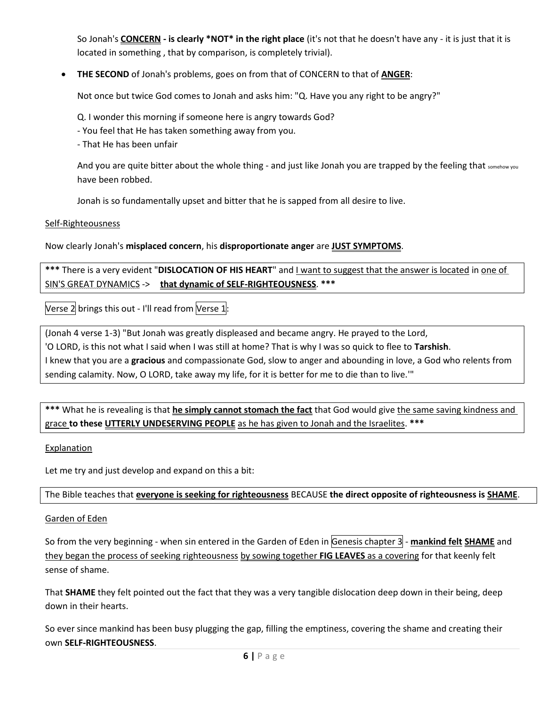So Jonah's **CONCERN - is clearly \*NOT\* in the right place** (it's not that he doesn't have any - it is just that it is located in something , that by comparison, is completely trivial).

**THE SECOND** of Jonah's problems, goes on from that of CONCERN to that of **ANGER**:

Not once but twice God comes to Jonah and asks him: "Q. Have you any right to be angry?"

Q. I wonder this morning if someone here is angry towards God?

- You feel that He has taken something away from you.
- That He has been unfair

And you are quite bitter about the whole thing - and just like Jonah you are trapped by the feeling that somehow you have been robbed.

Jonah is so fundamentally upset and bitter that he is sapped from all desire to live.

### Self-Righteousness

Now clearly Jonah's **misplaced concern**, his **disproportionate anger** are **JUST SYMPTOMS**.

\*\*\* There is a very evident "DISLOCATION OF HIS HEART" and I want to suggest that the answer is located in one of SIN'S GREAT DYNAMICS -> **that dynamic of SELF-RIGHTEOUSNESS**. **\*\*\***

Verse 2 brings this out - I'll read from Verse 1:

(Jonah 4 verse 1-3) "But Jonah was greatly displeased and became angry. He prayed to the Lord, 'O LORD, is this not what I said when I was still at home? That is why I was so quick to flee to **Tarshish**. I knew that you are a **gracious** and compassionate God, slow to anger and abounding in love, a God who relents from sending calamity. Now, O LORD, take away my life, for it is better for me to die than to live.'"

**\*\*\*** What he is revealing is that **he simply cannot stomach the fact** that God would give the same saving kindness and grace **to these UTTERLY UNDESERVING PEOPLE** as he has given to Jonah and the Israelites. **\*\*\***

### Explanation

Let me try and just develop and expand on this a bit:

The Bible teaches that **everyone is seeking for righteousness** BECAUSE **the direct opposite of righteousness is SHAME**.

### Garden of Eden

So from the very beginning - when sin entered in the Garden of Eden in Genesis chapter 3 - mankind felt SHAME and they began the process of seeking righteousness by sowing together **FIG LEAVES** as a covering for that keenly felt sense of shame.

That **SHAME** they felt pointed out the fact that they was a very tangible dislocation deep down in their being, deep down in their hearts.

So ever since mankind has been busy plugging the gap, filling the emptiness, covering the shame and creating their own **SELF-RIGHTEOUSNESS**.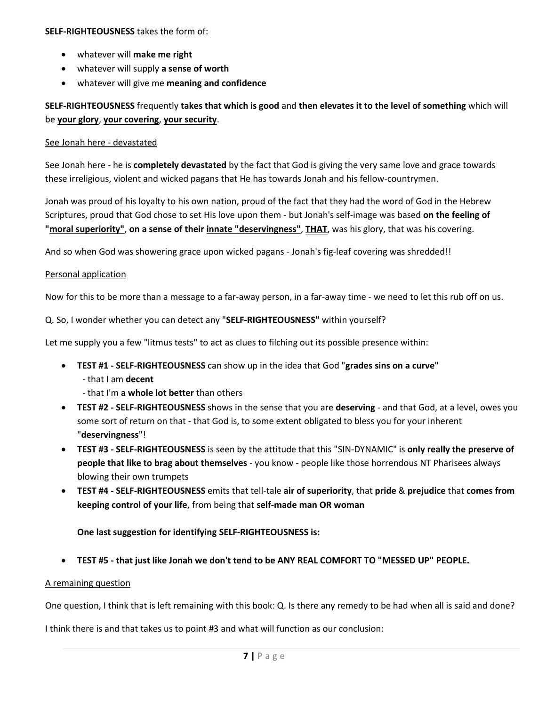### **SELF-RIGHTEOUSNESS** takes the form of:

- whatever will **make me right**
- whatever will supply **a sense of worth**
- whatever will give me **meaning and confidence**

**SELF-RIGHTEOUSNESS** frequently **takes that which is good** and **then elevates it to the level of something** which will be **your glory**, **your covering**, **your security**.

### See Jonah here - devastated

See Jonah here - he is **completely devastated** by the fact that God is giving the very same love and grace towards these irreligious, violent and wicked pagans that He has towards Jonah and his fellow-countrymen.

Jonah was proud of his loyalty to his own nation, proud of the fact that they had the word of God in the Hebrew Scriptures, proud that God chose to set His love upon them - but Jonah's self-image was based **on the feeling of "moral superiority"**, **on a sense of their innate "deservingness"**, **THAT**, was his glory, that was his covering.

And so when God was showering grace upon wicked pagans - Jonah's fig-leaf covering was shredded!!

### Personal application

Now for this to be more than a message to a far-away person, in a far-away time - we need to let this rub off on us.

Q. So, I wonder whether you can detect any "**SELF-RIGHTEOUSNESS"** within yourself?

Let me supply you a few "litmus tests" to act as clues to filching out its possible presence within:

- **TEST #1 - SELF-RIGHTEOUSNESS** can show up in the idea that God "**grades sins on a curve**"
	- that I am **decent**
	- that I'm **a whole lot better** than others
- **TEST #2 - SELF-RIGHTEOUSNESS** shows in the sense that you are **deserving** and that God, at a level, owes you some sort of return on that - that God is, to some extent obligated to bless you for your inherent "**deservingness**"!
- **TEST #3 - SELF-RIGHTEOUSNESS** is seen by the attitude that this "SIN-DYNAMIC" is **only really the preserve of people that like to brag about themselves** - you know - people like those horrendous NT Pharisees always blowing their own trumpets
- **TEST #4 - SELF-RIGHTEOUSNESS** emits that tell-tale **air of superiority**, that **pride** & **prejudice** that **comes from keeping control of your life**, from being that **self-made man OR woman**

### **One last suggestion for identifying SELF-RIGHTEOUSNESS is:**

**TEST #5 - that just like Jonah we don't tend to be ANY REAL COMFORT TO "MESSED UP" PEOPLE.** 

### A remaining question

One question, I think that is left remaining with this book: Q. Is there any remedy to be had when all is said and done?

I think there is and that takes us to point #3 and what will function as our conclusion: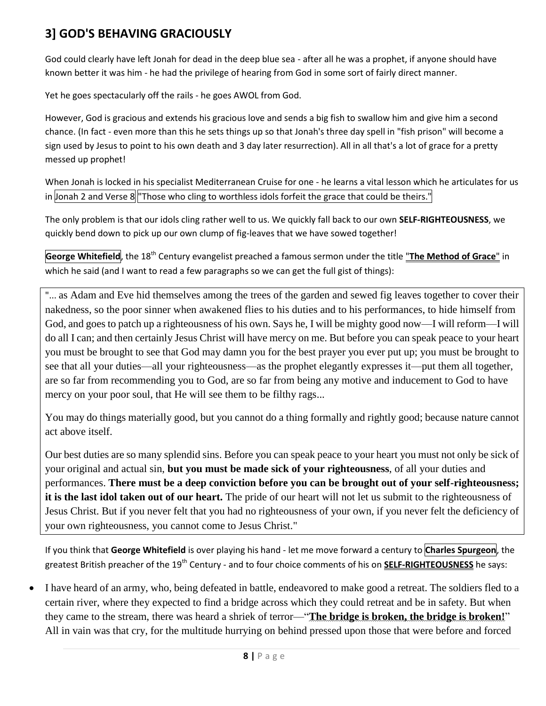# **3] GOD'S BEHAVING GRACIOUSLY**

God could clearly have left Jonah for dead in the deep blue sea - after all he was a prophet, if anyone should have known better it was him - he had the privilege of hearing from God in some sort of fairly direct manner.

Yet he goes spectacularly off the rails - he goes AWOL from God.

However, God is gracious and extends his gracious love and sends a big fish to swallow him and give him a second chance. (In fact - even more than this he sets things up so that Jonah's three day spell in "fish prison" will become a sign used by Jesus to point to his own death and 3 day later resurrection). All in all that's a lot of grace for a pretty messed up prophet!

When Jonah is locked in his specialist Mediterranean Cruise for one - he learns a vital lesson which he articulates for us in Jonah 2 and Verse 8 "Those who cling to worthless idols forfeit the grace that could be theirs."

The only problem is that our idols cling rather well to us. We quickly fall back to our own **SELF-RIGHTEOUSNESS**, we quickly bend down to pick up our own clump of fig-leaves that we have sowed together!

**George Whitefield**, the 18th Century evangelist preached a famous sermon under the title "**The Method of Grace**" in which he said (and I want to read a few paragraphs so we can get the full gist of things):

"... as Adam and Eve hid themselves among the trees of the garden and sewed fig leaves together to cover their nakedness, so the poor sinner when awakened flies to his duties and to his performances, to hide himself from God, and goes to patch up a righteousness of his own. Says he, I will be mighty good now—I will reform—I will do all I can; and then certainly Jesus Christ will have mercy on me. But before you can speak peace to your heart you must be brought to see that God may damn you for the best prayer you ever put up; you must be brought to see that all your duties—all your righteousness—as the prophet elegantly expresses it—put them all together, are so far from recommending you to God, are so far from being any motive and inducement to God to have mercy on your poor soul, that He will see them to be filthy rags...

You may do things materially good, but you cannot do a thing formally and rightly good; because nature cannot act above itself.

Our best duties are so many splendid sins. Before you can speak peace to your heart you must not only be sick of your original and actual sin, **but you must be made sick of your righteousness**, of all your duties and performances. **There must be a deep conviction before you can be brought out of your self-righteousness; it is the last idol taken out of our heart.** The pride of our heart will not let us submit to the righteousness of Jesus Christ. But if you never felt that you had no righteousness of your own, if you never felt the deficiency of your own righteousness, you cannot come to Jesus Christ."

If you think that **George Whitefield** is over playing his hand - let me move forward a century to **Charles Spurgeon**, the greatest British preacher of the 19<sup>th</sup> Century - and to four choice comments of his on **SELF-RIGHTEOUSNESS** he says:

 I have heard of an army, who, being defeated in battle, endeavored to make good a retreat. The soldiers fled to a certain river, where they expected to find a bridge across which they could retreat and be in safety. But when they came to the stream, there was heard a shriek of terror—"**The bridge is broken, the bridge is broken!**" All in vain was that cry, for the multitude hurrying on behind pressed upon those that were before and forced